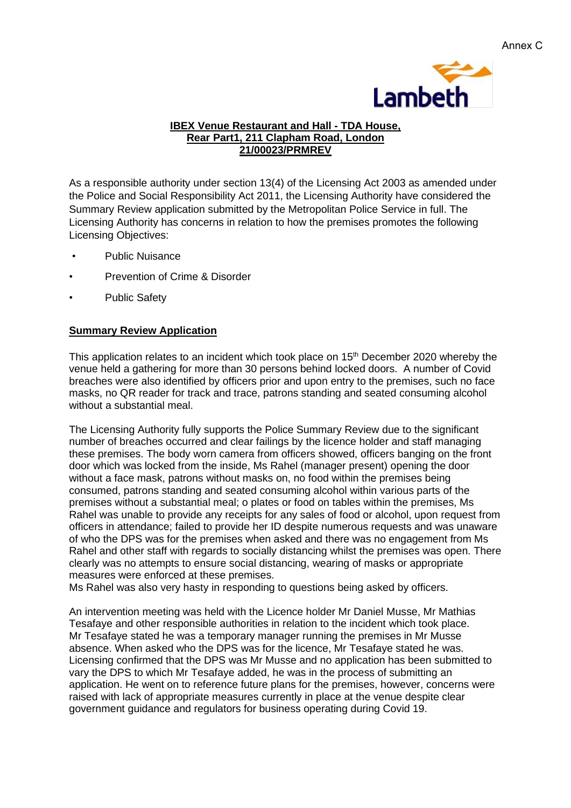

### **IBEX Venue Restaurant and Hall - TDA House, Rear Part1, 211 Clapham Road, London 21/00023/PRMREV**

As a responsible authority under section 13(4) of the Licensing Act 2003 as amended under the Police and Social Responsibility Act 2011, the Licensing Authority have considered the Summary Review application submitted by the Metropolitan Police Service in full. The Licensing Authority has concerns in relation to how the premises promotes the following Licensing Objectives:

- Public Nuisance
- Prevention of Crime & Disorder
- Public Safety

## **Summary Review Application**

This application relates to an incident which took place on 15<sup>th</sup> December 2020 whereby the venue held a gathering for more than 30 persons behind locked doors. A number of Covid breaches were also identified by officers prior and upon entry to the premises, such no face masks, no QR reader for track and trace, patrons standing and seated consuming alcohol without a substantial meal.

The Licensing Authority fully supports the Police Summary Review due to the significant number of breaches occurred and clear failings by the licence holder and staff managing these premises. The body worn camera from officers showed, officers banging on the front door which was locked from the inside, Ms Rahel (manager present) opening the door without a face mask, patrons without masks on, no food within the premises being consumed, patrons standing and seated consuming alcohol within various parts of the premises without a substantial meal; o plates or food on tables within the premises, Ms Rahel was unable to provide any receipts for any sales of food or alcohol, upon request from officers in attendance; failed to provide her ID despite numerous requests and was unaware of who the DPS was for the premises when asked and there was no engagement from Ms Rahel and other staff with regards to socially distancing whilst the premises was open. There clearly was no attempts to ensure social distancing, wearing of masks or appropriate measures were enforced at these premises.

Ms Rahel was also very hasty in responding to questions being asked by officers.

An intervention meeting was held with the Licence holder Mr Daniel Musse, Mr Mathias Tesafaye and other responsible authorities in relation to the incident which took place. Mr Tesafaye stated he was a temporary manager running the premises in Mr Musse absence. When asked who the DPS was for the licence, Mr Tesafaye stated he was. Licensing confirmed that the DPS was Mr Musse and no application has been submitted to vary the DPS to which Mr Tesafaye added, he was in the process of submitting an application. He went on to reference future plans for the premises, however, concerns were raised with lack of appropriate measures currently in place at the venue despite clear government guidance and regulators for business operating during Covid 19.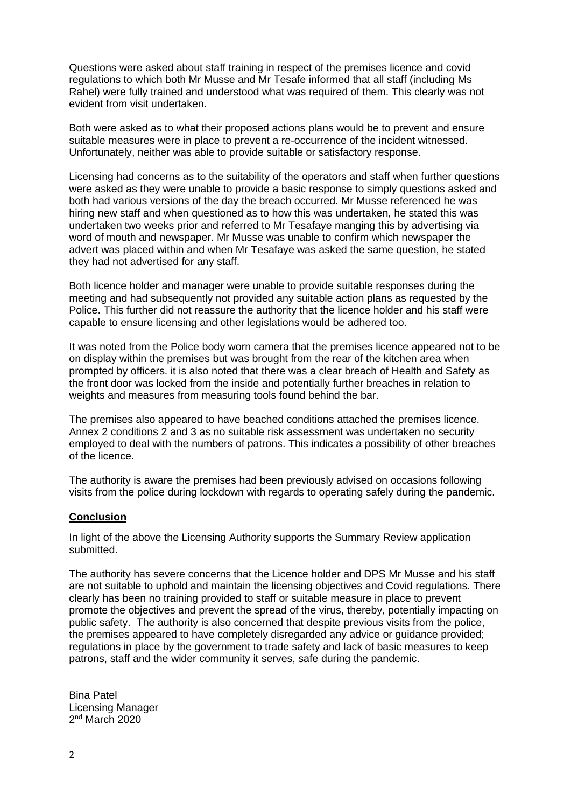Questions were asked about staff training in respect of the premises licence and covid regulations to which both Mr Musse and Mr Tesafe informed that all staff (including Ms Rahel) were fully trained and understood what was required of them. This clearly was not evident from visit undertaken.

Both were asked as to what their proposed actions plans would be to prevent and ensure suitable measures were in place to prevent a re-occurrence of the incident witnessed. Unfortunately, neither was able to provide suitable or satisfactory response.

Licensing had concerns as to the suitability of the operators and staff when further questions were asked as they were unable to provide a basic response to simply questions asked and both had various versions of the day the breach occurred. Mr Musse referenced he was hiring new staff and when questioned as to how this was undertaken, he stated this was undertaken two weeks prior and referred to Mr Tesafaye manging this by advertising via word of mouth and newspaper. Mr Musse was unable to confirm which newspaper the advert was placed within and when Mr Tesafaye was asked the same question, he stated they had not advertised for any staff.

Both licence holder and manager were unable to provide suitable responses during the meeting and had subsequently not provided any suitable action plans as requested by the Police. This further did not reassure the authority that the licence holder and his staff were capable to ensure licensing and other legislations would be adhered too.

It was noted from the Police body worn camera that the premises licence appeared not to be on display within the premises but was brought from the rear of the kitchen area when prompted by officers. it is also noted that there was a clear breach of Health and Safety as the front door was locked from the inside and potentially further breaches in relation to weights and measures from measuring tools found behind the bar.

The premises also appeared to have beached conditions attached the premises licence. Annex 2 conditions 2 and 3 as no suitable risk assessment was undertaken no security employed to deal with the numbers of patrons. This indicates a possibility of other breaches of the licence.

The authority is aware the premises had been previously advised on occasions following visits from the police during lockdown with regards to operating safely during the pandemic.

### **Conclusion**

In light of the above the Licensing Authority supports the Summary Review application submitted.

The authority has severe concerns that the Licence holder and DPS Mr Musse and his staff are not suitable to uphold and maintain the licensing objectives and Covid regulations. There clearly has been no training provided to staff or suitable measure in place to prevent promote the objectives and prevent the spread of the virus, thereby, potentially impacting on public safety. The authority is also concerned that despite previous visits from the police, the premises appeared to have completely disregarded any advice or guidance provided; regulations in place by the government to trade safety and lack of basic measures to keep patrons, staff and the wider community it serves, safe during the pandemic.

Bina Patel Licensing Manager 2 nd March 2020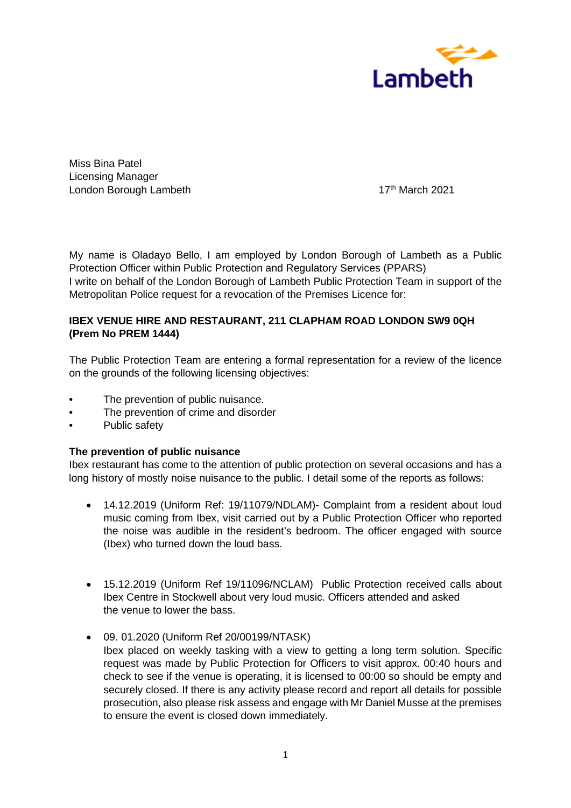

Miss Bina Patel Licensing Manager London Borough Lambeth 17th March 2021

My name is Oladayo Bello, I am employed by London Borough of Lambeth as a Public Protection Officer within Public Protection and Regulatory Services (PPARS) I write on behalf of the London Borough of Lambeth Public Protection Team in support of the Metropolitan Police request for a revocation of the Premises Licence for:

# **IBEX VENUE HIRE AND RESTAURANT, 211 CLAPHAM ROAD LONDON SW9 0QH (Prem No PREM 1444)**

The Public Protection Team are entering a formal representation for a review of the licence on the grounds of the following licensing objectives:

- The prevention of public nuisance.
- The prevention of crime and disorder
- Public safety

### **The prevention of public nuisance**

Ibex restaurant has come to the attention of public protection on several occasions and has a long history of mostly noise nuisance to the public. I detail some of the reports as follows:

- 14.12.2019 (Uniform Ref: 19/11079/NDLAM)- Complaint from a resident about loud music coming from Ibex, visit carried out by a Public Protection Officer who reported the noise was audible in the resident's bedroom. The officer engaged with source (Ibex) who turned down the loud bass.
- 15.12.2019 (Uniform Ref 19/11096/NCLAM) Public Protection received calls about Ibex Centre in Stockwell about very loud music. Officers attended and asked the venue to lower the bass.
- 09. 01.2020 (Uniform Ref 20/00199/NTASK) Ibex placed on weekly tasking with a view to getting a long term solution. Specific request was made by Public Protection for Officers to visit approx. 00:40 hours and check to see if the venue is operating, it is licensed to 00:00 so should be empty and securely closed. If there is any activity please record and report all details for possible prosecution, also please risk assess and engage with Mr Daniel Musse at the premises to ensure the event is closed down immediately.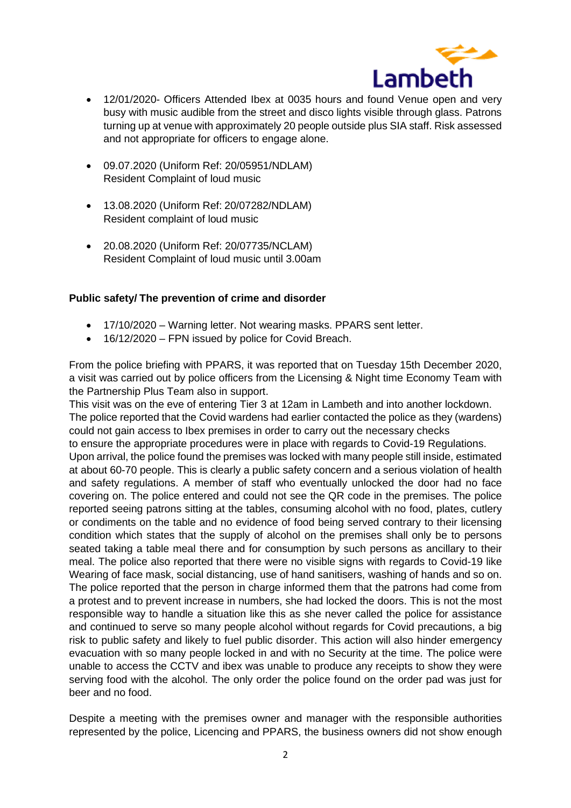

- 12/01/2020- Officers Attended Ibex at 0035 hours and found Venue open and very busy with music audible from the street and disco lights visible through glass. Patrons turning up at venue with approximately 20 people outside plus SIA staff. Risk assessed and not appropriate for officers to engage alone.
- 09.07.2020 (Uniform Ref: 20/05951/NDLAM) Resident Complaint of loud music
- 13.08.2020 (Uniform Ref: 20/07282/NDLAM) Resident complaint of loud music
- 20.08.2020 (Uniform Ref: 20/07735/NCLAM) Resident Complaint of loud music until 3.00am

### **Public safety/ The prevention of crime and disorder**

- 17/10/2020 Warning letter. Not wearing masks. PPARS sent letter.
- 16/12/2020 FPN issued by police for Covid Breach.

From the police briefing with PPARS, it was reported that on Tuesday 15th December 2020, a visit was carried out by police officers from the Licensing & Night time Economy Team with the Partnership Plus Team also in support.

This visit was on the eve of entering Tier 3 at 12am in Lambeth and into another lockdown. The police reported that the Covid wardens had earlier contacted the police as they (wardens) could not gain access to Ibex premises in order to carry out the necessary checks to ensure the appropriate procedures were in place with regards to Covid-19 Regulations. Upon arrival, the police found the premises was locked with many people still inside, estimated at about 60-70 people. This is clearly a public safety concern and a serious violation of health and safety regulations. A member of staff who eventually unlocked the door had no face covering on. The police entered and could not see the QR code in the premises. The police reported seeing patrons sitting at the tables, consuming alcohol with no food, plates, cutlery or condiments on the table and no evidence of food being served contrary to their licensing condition which states that the supply of alcohol on the premises shall only be to persons seated taking a table meal there and for consumption by such persons as ancillary to their meal. The police also reported that there were no visible signs with regards to Covid-19 like Wearing of face mask, social distancing, use of hand sanitisers, washing of hands and so on. The police reported that the person in charge informed them that the patrons had come from a protest and to prevent increase in numbers, she had locked the doors. This is not the most responsible way to handle a situation like this as she never called the police for assistance and continued to serve so many people alcohol without regards for Covid precautions, a big risk to public safety and likely to fuel public disorder. This action will also hinder emergency evacuation with so many people locked in and with no Security at the time. The police were unable to access the CCTV and ibex was unable to produce any receipts to show they were serving food with the alcohol. The only order the police found on the order pad was just for beer and no food.

Despite a meeting with the premises owner and manager with the responsible authorities represented by the police, Licencing and PPARS, the business owners did not show enough